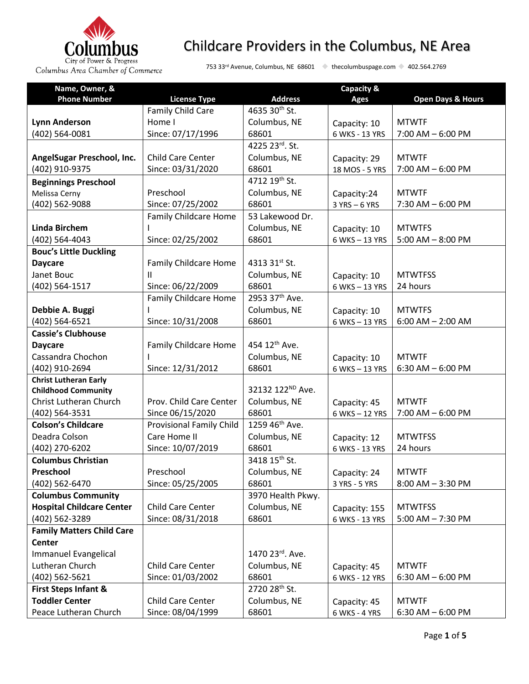

| Name, Owner, &                   |                                 |                            | Capacity &     |                              |
|----------------------------------|---------------------------------|----------------------------|----------------|------------------------------|
| <b>Phone Number</b>              | <b>License Type</b>             | <b>Address</b>             | <b>Ages</b>    | <b>Open Days &amp; Hours</b> |
|                                  | Family Child Care               | 4635 30th St.              |                |                              |
| <b>Lynn Anderson</b>             | Home I                          | Columbus, NE               | Capacity: 10   | <b>MTWTF</b>                 |
| (402) 564-0081                   | Since: 07/17/1996               | 68601                      | 6 WKS - 13 YRS | $7:00$ AM $-6:00$ PM         |
|                                  |                                 | 4225 23rd. St.             |                |                              |
| AngelSugar Preschool, Inc.       | <b>Child Care Center</b>        | Columbus, NE               | Capacity: 29   | <b>MTWTF</b>                 |
| (402) 910-9375                   | Since: 03/31/2020               | 68601                      | 18 MOS - 5 YRS | $7:00$ AM $-6:00$ PM         |
| <b>Beginnings Preschool</b>      |                                 | 4712 19th St.              |                |                              |
| Melissa Cerny                    | Preschool                       | Columbus, NE               | Capacity:24    | <b>MTWTF</b>                 |
| (402) 562-9088                   | Since: 07/25/2002               | 68601                      | 3 YRS - 6 YRS  | $7:30$ AM $-6:00$ PM         |
|                                  | <b>Family Childcare Home</b>    | 53 Lakewood Dr.            |                |                              |
| <b>Linda Birchem</b>             |                                 | Columbus, NE               | Capacity: 10   | <b>MTWTFS</b>                |
| (402) 564-4043                   | Since: 02/25/2002               | 68601                      | 6 WKS-13 YRS   | $5:00$ AM $-$ 8:00 PM        |
| <b>Bouc's Little Duckling</b>    |                                 |                            |                |                              |
| <b>Daycare</b>                   | Family Childcare Home           | 4313 31st St.              |                |                              |
| Janet Bouc                       | Ш                               | Columbus, NE               | Capacity: 10   | <b>MTWTFSS</b>               |
| (402) 564-1517                   | Since: 06/22/2009               | 68601                      | 6 WKS-13 YRS   | 24 hours                     |
|                                  | Family Childcare Home           | 2953 37 <sup>th</sup> Ave. |                |                              |
| Debbie A. Buggi                  |                                 | Columbus, NE               | Capacity: 10   | <b>MTWTFS</b>                |
| (402) 564-6521                   | Since: 10/31/2008               | 68601                      | 6 WKS-13 YRS   | $6:00$ AM $- 2:00$ AM        |
| <b>Cassie's Clubhouse</b>        |                                 |                            |                |                              |
| <b>Daycare</b>                   | Family Childcare Home           | 454 12 <sup>th</sup> Ave.  |                |                              |
| Cassandra Chochon                |                                 | Columbus, NE               | Capacity: 10   | <b>MTWTF</b>                 |
| (402) 910-2694                   | Since: 12/31/2012               | 68601                      | 6 WKS-13 YRS   | $6:30$ AM $-6:00$ PM         |
| <b>Christ Lutheran Early</b>     |                                 |                            |                |                              |
| <b>Childhood Community</b>       |                                 | 32132 122ND Ave.           |                |                              |
| Christ Lutheran Church           | Prov. Child Care Center         | Columbus, NE               | Capacity: 45   | <b>MTWTF</b>                 |
| (402) 564-3531                   | Since 06/15/2020                | 68601                      | 6 WKS - 12 YRS | $7:00$ AM $-6:00$ PM         |
| <b>Colson's Childcare</b>        | <b>Provisional Family Child</b> | 1259 46 <sup>th</sup> Ave. |                |                              |
| Deadra Colson                    | Care Home II                    | Columbus, NE               | Capacity: 12   | <b>MTWTFSS</b>               |
| (402) 270-6202                   | Since: 10/07/2019               | 68601                      | 6 WKS - 13 YRS | 24 hours                     |
| <b>Columbus Christian</b>        |                                 | 3418 15 <sup>th</sup> St.  |                |                              |
| Preschool                        | Preschool                       | Columbus, NE               | Capacity: 24   | <b>MTWTF</b>                 |
| (402) 562-6470                   | Since: 05/25/2005               | 68601                      | 3 YRS - 5 YRS  | $8:00$ AM $-3:30$ PM         |
| <b>Columbus Community</b>        |                                 | 3970 Health Pkwy.          |                |                              |
| <b>Hospital Childcare Center</b> | Child Care Center               | Columbus, NE               | Capacity: 155  | <b>MTWTFSS</b>               |
| (402) 562-3289                   | Since: 08/31/2018               | 68601                      | 6 WKS - 13 YRS | $5:00$ AM $- 7:30$ PM        |
| <b>Family Matters Child Care</b> |                                 |                            |                |                              |
| <b>Center</b>                    |                                 |                            |                |                              |
| Immanuel Evangelical             |                                 | 1470 23rd. Ave.            |                |                              |
| Lutheran Church                  | Child Care Center               | Columbus, NE               | Capacity: 45   | <b>MTWTF</b>                 |
| (402) 562-5621                   | Since: 01/03/2002               | 68601                      | 6 WKS - 12 YRS | $6:30$ AM $-6:00$ PM         |
| <b>First Steps Infant &amp;</b>  |                                 | 2720 28 <sup>th</sup> St.  |                |                              |
| <b>Toddler Center</b>            | Child Care Center               | Columbus, NE               | Capacity: 45   | <b>MTWTF</b>                 |
| Peace Lutheran Church            | Since: 08/04/1999               | 68601                      | 6 WKS - 4 YRS  | $6:30$ AM $-6:00$ PM         |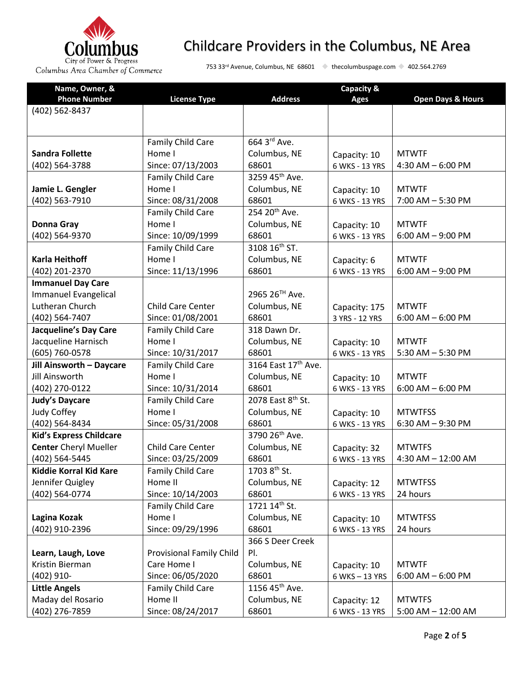

| Name, Owner, &                 |                                 |                            | Capacity &     |                              |
|--------------------------------|---------------------------------|----------------------------|----------------|------------------------------|
| <b>Phone Number</b>            | <b>License Type</b>             | <b>Address</b>             | <b>Ages</b>    | <b>Open Days &amp; Hours</b> |
| (402) 562-8437                 |                                 |                            |                |                              |
|                                |                                 |                            |                |                              |
|                                |                                 |                            |                |                              |
|                                | Family Child Care               | 664 3rd Ave.               |                |                              |
| <b>Sandra Follette</b>         | Home I                          | Columbus, NE               | Capacity: 10   | <b>MTWTF</b>                 |
| (402) 564-3788                 | Since: 07/13/2003               | 68601                      | 6 WKS - 13 YRS | 4:30 AM $-$ 6:00 PM          |
|                                | Family Child Care               | 3259 45th Ave.             |                |                              |
| Jamie L. Gengler               | Home I                          | Columbus, NE               | Capacity: 10   | <b>MTWTF</b>                 |
| (402) 563-7910                 | Since: 08/31/2008               | 68601                      | 6 WKS - 13 YRS | 7:00 AM - 5:30 PM            |
|                                | Family Child Care               | 254 20 <sup>th</sup> Ave.  |                |                              |
| <b>Donna Gray</b>              | Home I                          | Columbus, NE               | Capacity: 10   | <b>MTWTF</b>                 |
| (402) 564-9370                 | Since: 10/09/1999               | 68601                      | 6 WKS - 13 YRS | $6:00$ AM $-$ 9:00 PM        |
|                                | Family Child Care               | 3108 16 <sup>th</sup> ST.  |                |                              |
| <b>Karla Heithoff</b>          | Home I                          | Columbus, NE               | Capacity: 6    | <b>MTWTF</b>                 |
| (402) 201-2370                 | Since: 11/13/1996               | 68601                      | 6 WKS - 13 YRS | $6:00$ AM $-$ 9:00 PM        |
| <b>Immanuel Day Care</b>       |                                 |                            |                |                              |
| Immanuel Evangelical           |                                 | 2965 26TH Ave.             |                |                              |
| Lutheran Church                | <b>Child Care Center</b>        | Columbus, NE               | Capacity: 175  | <b>MTWTF</b>                 |
| (402) 564-7407                 | Since: 01/08/2001               | 68601                      | 3 YRS - 12 YRS | $6:00$ AM $-6:00$ PM         |
| <b>Jacqueline's Day Care</b>   | Family Child Care               | 318 Dawn Dr.               |                |                              |
| Jacqueline Harnisch            | Home I                          | Columbus, NE               | Capacity: 10   | <b>MTWTF</b>                 |
| (605) 760-0578                 | Since: 10/31/2017               | 68601                      | 6 WKS - 13 YRS | $5:30$ AM $-5:30$ PM         |
| Jill Ainsworth - Daycare       | <b>Family Child Care</b>        | 3164 East 17th Ave.        |                |                              |
| Jill Ainsworth                 | Home I                          | Columbus, NE               | Capacity: 10   | <b>MTWTF</b>                 |
| (402) 270-0122                 | Since: 10/31/2014               | 68601                      | 6 WKS - 13 YRS | $6:00$ AM $-6:00$ PM         |
| <b>Judy's Daycare</b>          | Family Child Care               | 2078 East 8th St.          |                |                              |
| <b>Judy Coffey</b>             | Home I                          | Columbus, NE               | Capacity: 10   | <b>MTWTFSS</b>               |
| (402) 564-8434                 | Since: 05/31/2008               | 68601                      | 6 WKS - 13 YRS | $6:30$ AM $-9:30$ PM         |
| <b>Kid's Express Childcare</b> |                                 | 3790 26 <sup>th</sup> Ave. |                |                              |
| <b>Center</b> Cheryl Mueller   | <b>Child Care Center</b>        | Columbus, NE               | Capacity: 32   | <b>MTWTFS</b>                |
| (402) 564-5445                 | Since: 03/25/2009               | 68601                      | 6 WKS - 13 YRS | $4:30$ AM $- 12:00$ AM       |
| <b>Kiddie Korral Kid Kare</b>  | Family Child Care               | 1703 8 <sup>th</sup> St.   |                |                              |
| Jennifer Quigley               | Home II                         | Columbus, NE               | Capacity: 12   | <b>MTWTFSS</b>               |
| (402) 564-0774                 | Since: 10/14/2003               | 68601                      | 6 WKS - 13 YRS | 24 hours                     |
|                                | Family Child Care               | 1721 14th St.              |                |                              |
| Lagina Kozak                   | Home I                          | Columbus, NE               | Capacity: 10   | <b>MTWTFSS</b>               |
| (402) 910-2396                 | Since: 09/29/1996               | 68601                      | 6 WKS - 13 YRS | 24 hours                     |
|                                |                                 | 366 S Deer Creek           |                |                              |
| Learn, Laugh, Love             | <b>Provisional Family Child</b> | PI.                        |                |                              |
| Kristin Bierman                | Care Home I                     | Columbus, NE               | Capacity: 10   | <b>MTWTF</b>                 |
| $(402)$ 910-                   | Since: 06/05/2020               | 68601                      | 6 WKS-13 YRS   | $6:00$ AM $-6:00$ PM         |
| <b>Little Angels</b>           | Family Child Care               | 1156 45 <sup>th</sup> Ave. |                |                              |
| Maday del Rosario              | Home II                         | Columbus, NE               | Capacity: 12   | <b>MTWTFS</b>                |
| (402) 276-7859                 | Since: 08/24/2017               | 68601                      | 6 WKS - 13 YRS | $5:00$ AM $- 12:00$ AM       |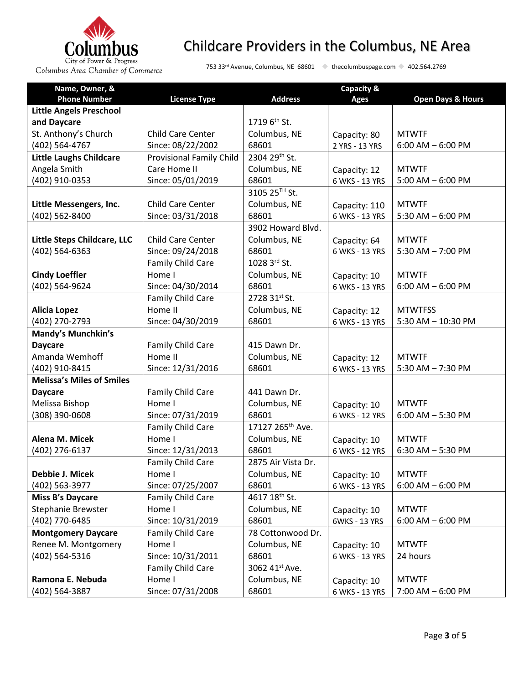

| Name, Owner, &                   |                                 |                              | Capacity &     |                              |
|----------------------------------|---------------------------------|------------------------------|----------------|------------------------------|
| <b>Phone Number</b>              | <b>License Type</b>             | <b>Address</b>               | <b>Ages</b>    | <b>Open Days &amp; Hours</b> |
| <b>Little Angels Preschool</b>   |                                 |                              |                |                              |
| and Daycare                      |                                 | 1719 6 <sup>th</sup> St.     |                |                              |
| St. Anthony's Church             | Child Care Center               | Columbus, NE                 | Capacity: 80   | <b>MTWTF</b>                 |
| (402) 564-4767                   | Since: 08/22/2002               | 68601                        | 2 YRS - 13 YRS | $6:00$ AM $-6:00$ PM         |
| <b>Little Laughs Childcare</b>   | <b>Provisional Family Child</b> | 2304 29th St.                |                |                              |
| Angela Smith                     | Care Home II                    | Columbus, NE                 | Capacity: 12   | <b>MTWTF</b>                 |
| (402) 910-0353                   | Since: 05/01/2019               | 68601                        | 6 WKS - 13 YRS | $5:00$ AM $-6:00$ PM         |
|                                  |                                 | 3105 25™ St.                 |                |                              |
| Little Messengers, Inc.          | <b>Child Care Center</b>        | Columbus, NE                 | Capacity: 110  | <b>MTWTF</b>                 |
| (402) 562-8400                   | Since: 03/31/2018               | 68601                        | 6 WKS - 13 YRS | $5:30$ AM $-6:00$ PM         |
|                                  |                                 | 3902 Howard Blvd.            |                |                              |
| Little Steps Childcare, LLC      | Child Care Center               | Columbus, NE                 | Capacity: 64   | <b>MTWTF</b>                 |
| (402) 564-6363                   | Since: 09/24/2018               | 68601                        | 6 WKS - 13 YRS | $5:30$ AM $- 7:00$ PM        |
|                                  | Family Child Care               | 1028 3rd St.                 |                |                              |
| <b>Cindy Loeffler</b>            | Home I                          | Columbus, NE                 | Capacity: 10   | <b>MTWTF</b>                 |
| (402) 564-9624                   | Since: 04/30/2014               | 68601                        | 6 WKS - 13 YRS | $6:00$ AM $-6:00$ PM         |
|                                  | Family Child Care               | 2728 31st St.                |                |                              |
| <b>Alicia Lopez</b>              | Home II                         | Columbus, NE                 | Capacity: 12   | <b>MTWTFSS</b>               |
| (402) 270-2793                   | Since: 04/30/2019               | 68601                        | 6 WKS - 13 YRS | 5:30 AM - 10:30 PM           |
| <b>Mandy's Munchkin's</b>        |                                 |                              |                |                              |
| <b>Daycare</b>                   | Family Child Care               | 415 Dawn Dr.                 |                |                              |
| Amanda Wemhoff                   | Home II                         | Columbus, NE                 | Capacity: 12   | <b>MTWTF</b>                 |
| (402) 910-8415                   | Since: 12/31/2016               | 68601                        | 6 WKS - 13 YRS | 5:30 AM - 7:30 PM            |
| <b>Melissa's Miles of Smiles</b> |                                 |                              |                |                              |
| <b>Daycare</b>                   | Family Child Care               | 441 Dawn Dr.                 |                |                              |
| Melissa Bishop                   | Home I                          | Columbus, NE                 | Capacity: 10   | <b>MTWTF</b>                 |
| (308) 390-0608                   | Since: 07/31/2019               | 68601                        | 6 WKS - 12 YRS | $6:00$ AM $-5:30$ PM         |
|                                  | Family Child Care               | 17127 265 <sup>th</sup> Ave. |                |                              |
| Alena M. Micek                   | Home I                          | Columbus, NE                 | Capacity: 10   | <b>MTWTF</b>                 |
| (402) 276-6137                   | Since: 12/31/2013               | 68601                        | 6 WKS - 12 YRS | 6:30 AM - 5:30 PM            |
|                                  | Family Child Care               | 2875 Air Vista Dr.           |                |                              |
| Debbie J. Micek                  | Home I                          | Columbus, NE                 | Capacity: 10   | <b>MTWTF</b>                 |
| (402) 563-3977                   | Since: 07/25/2007               | 68601                        | 6 WKS - 13 YRS | $6:00$ AM $-6:00$ PM         |
| Miss B's Daycare                 | Family Child Care               | 4617 18 <sup>th</sup> St.    |                |                              |
| Stephanie Brewster               | Home I                          | Columbus, NE                 | Capacity: 10   | <b>MTWTF</b>                 |
| (402) 770-6485                   | Since: 10/31/2019               | 68601                        | 6WKS - 13 YRS  | $6:00$ AM $-6:00$ PM         |
| <b>Montgomery Daycare</b>        | Family Child Care               | 78 Cottonwood Dr.            |                |                              |
| Renee M. Montgomery              | Home I                          | Columbus, NE                 | Capacity: 10   | <b>MTWTF</b>                 |
| (402) 564-5316                   | Since: 10/31/2011               | 68601                        | 6 WKS - 13 YRS | 24 hours                     |
|                                  | Family Child Care               | 3062 41st Ave.               |                |                              |
| Ramona E. Nebuda                 | Home I                          | Columbus, NE                 | Capacity: 10   | <b>MTWTF</b>                 |
| (402) 564-3887                   | Since: 07/31/2008               | 68601                        | 6 WKS - 13 YRS | $7:00$ AM $-6:00$ PM         |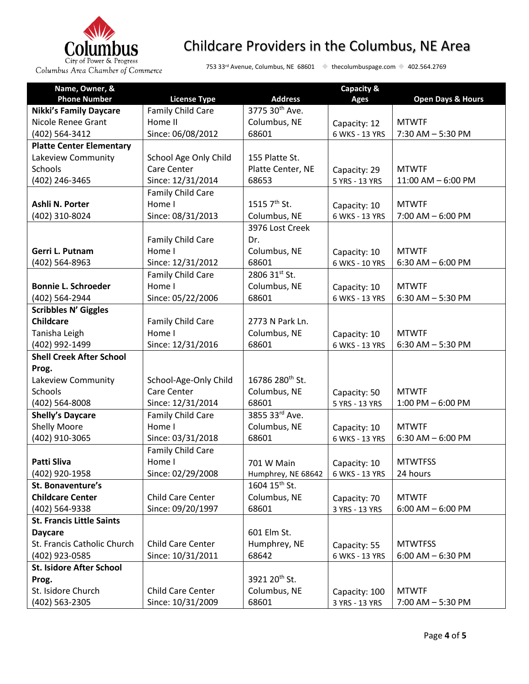

| Name, Owner, &                   |                       |                             | Capacity &     |                              |
|----------------------------------|-----------------------|-----------------------------|----------------|------------------------------|
| <b>Phone Number</b>              | <b>License Type</b>   | <b>Address</b>              | <b>Ages</b>    | <b>Open Days &amp; Hours</b> |
| <b>Nikki's Family Daycare</b>    | Family Child Care     | 3775 30th Ave.              |                |                              |
| Nicole Renee Grant               | Home II               | Columbus, NE                | Capacity: 12   | <b>MTWTF</b>                 |
| (402) 564-3412                   | Since: 06/08/2012     | 68601                       | 6 WKS - 13 YRS | 7:30 AM - 5:30 PM            |
| <b>Platte Center Elementary</b>  |                       |                             |                |                              |
| Lakeview Community               | School Age Only Child | 155 Platte St.              |                |                              |
| <b>Schools</b>                   | Care Center           | Platte Center, NE           | Capacity: 29   | <b>MTWTF</b>                 |
| (402) 246-3465                   | Since: 12/31/2014     | 68653                       | 5 YRS - 13 YRS | 11:00 AM - 6:00 PM           |
|                                  | Family Child Care     |                             |                |                              |
| Ashli N. Porter                  | Home I                | 1515 7 <sup>th</sup> St.    | Capacity: 10   | <b>MTWTF</b>                 |
| (402) 310-8024                   | Since: 08/31/2013     | Columbus, NE                | 6 WKS - 13 YRS | $7:00$ AM $-6:00$ PM         |
|                                  |                       | 3976 Lost Creek             |                |                              |
|                                  | Family Child Care     | Dr.                         |                |                              |
| Gerri L. Putnam                  | Home I                | Columbus, NE                | Capacity: 10   | <b>MTWTF</b>                 |
| (402) 564-8963                   | Since: 12/31/2012     | 68601                       | 6 WKS - 10 YRS | 6:30 AM $-$ 6:00 PM          |
|                                  | Family Child Care     | 2806 31st St.               |                |                              |
| <b>Bonnie L. Schroeder</b>       | Home I                | Columbus, NE                | Capacity: 10   | <b>MTWTF</b>                 |
| (402) 564-2944                   | Since: 05/22/2006     | 68601                       | 6 WKS - 13 YRS | $6:30$ AM $-5:30$ PM         |
| <b>Scribbles N' Giggles</b>      |                       |                             |                |                              |
| <b>Childcare</b>                 | Family Child Care     | 2773 N Park Ln.             |                |                              |
| Tanisha Leigh                    | Home I                | Columbus, NE                | Capacity: 10   | <b>MTWTF</b>                 |
| (402) 992-1499                   | Since: 12/31/2016     | 68601                       | 6 WKS - 13 YRS | 6:30 AM - 5:30 PM            |
| <b>Shell Creek After School</b>  |                       |                             |                |                              |
| Prog.                            |                       |                             |                |                              |
| Lakeview Community               | School-Age-Only Child | 16786 280 <sup>th</sup> St. |                |                              |
| Schools                          | Care Center           | Columbus, NE                | Capacity: 50   | <b>MTWTF</b>                 |
| (402) 564-8008                   | Since: 12/31/2014     | 68601                       | 5 YRS - 13 YRS | $1:00$ PM $-6:00$ PM         |
| <b>Shelly's Daycare</b>          | Family Child Care     | 3855 33rd Ave.              |                |                              |
| <b>Shelly Moore</b>              | Home I                | Columbus, NE                | Capacity: 10   | <b>MTWTF</b>                 |
| (402) 910-3065                   | Since: 03/31/2018     | 68601                       | 6 WKS - 13 YRS | $6:30$ AM $-6:00$ PM         |
|                                  | Family Child Care     |                             |                |                              |
| Patti Sliva                      | Home I                | 701 W Main                  | Capacity: 10   | <b>MTWTFSS</b>               |
| (402) 920-1958                   | Since: 02/29/2008     | Humphrey, NE 68642          | 6 WKS - 13 YRS | 24 hours                     |
| St. Bonaventure's                |                       | 1604 15 <sup>th</sup> St.   |                |                              |
| <b>Childcare Center</b>          | Child Care Center     | Columbus, NE                | Capacity: 70   | <b>MTWTF</b>                 |
| (402) 564-9338                   | Since: 09/20/1997     | 68601                       | 3 YRS - 13 YRS | $6:00$ AM $-6:00$ PM         |
| <b>St. Francis Little Saints</b> |                       |                             |                |                              |
| <b>Daycare</b>                   |                       | 601 Elm St.                 |                |                              |
| St. Francis Catholic Church      | Child Care Center     | Humphrey, NE                | Capacity: 55   | <b>MTWTFSS</b>               |
| (402) 923-0585                   | Since: 10/31/2011     | 68642                       | 6 WKS - 13 YRS | $6:00$ AM $-6:30$ PM         |
| <b>St. Isidore After School</b>  |                       |                             |                |                              |
| Prog.                            |                       | 3921 20 <sup>th</sup> St.   |                |                              |
| St. Isidore Church               | Child Care Center     | Columbus, NE                | Capacity: 100  | <b>MTWTF</b>                 |
| (402) 563-2305                   | Since: 10/31/2009     | 68601                       | 3 YRS - 13 YRS | 7:00 AM - 5:30 PM            |